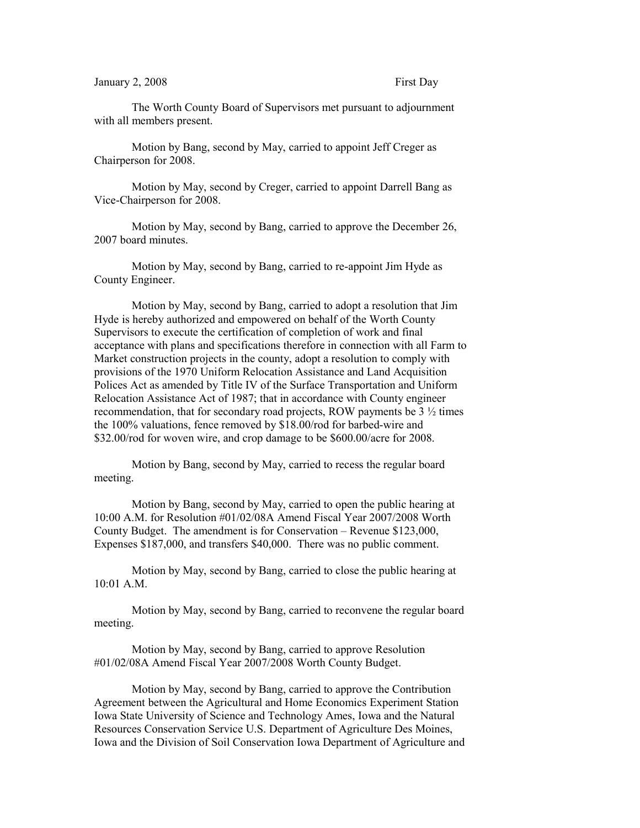## January 2, 2008 First Day

The Worth County Board of Supervisors met pursuant to adjournment with all members present.

Motion by Bang, second by May, carried to appoint Jeff Creger as Chairperson for 2008.

Motion by May, second by Creger, carried to appoint Darrell Bang as Vice-Chairperson for 2008.

Motion by May, second by Bang, carried to approve the December 26, 2007 board minutes.

Motion by May, second by Bang, carried to re-appoint Jim Hyde as County Engineer.

Motion by May, second by Bang, carried to adopt a resolution that Jim Hyde is hereby authorized and empowered on behalf of the Worth County Supervisors to execute the certification of completion of work and final acceptance with plans and specifications therefore in connection with all Farm to Market construction projects in the county, adopt a resolution to comply with provisions of the 1970 Uniform Relocation Assistance and Land Acquisition Polices Act as amended by Title IV of the Surface Transportation and Uniform Relocation Assistance Act of 1987; that in accordance with County engineer recommendation, that for secondary road projects, ROW payments be 3 ½ times the 100% valuations, fence removed by \$18.00/rod for barbed-wire and \$32.00/rod for woven wire, and crop damage to be \$600.00/acre for 2008.

Motion by Bang, second by May, carried to recess the regular board meeting.

Motion by Bang, second by May, carried to open the public hearing at 10:00 A.M. for Resolution #01/02/08A Amend Fiscal Year 2007/2008 Worth County Budget. The amendment is for Conservation – Revenue \$123,000, Expenses \$187,000, and transfers \$40,000. There was no public comment.

Motion by May, second by Bang, carried to close the public hearing at 10:01 A.M.

Motion by May, second by Bang, carried to reconvene the regular board meeting.

Motion by May, second by Bang, carried to approve Resolution #01/02/08A Amend Fiscal Year 2007/2008 Worth County Budget.

Motion by May, second by Bang, carried to approve the Contribution Agreement between the Agricultural and Home Economics Experiment Station Iowa State University of Science and Technology Ames, Iowa and the Natural Resources Conservation Service U.S. Department of Agriculture Des Moines, Iowa and the Division of Soil Conservation Iowa Department of Agriculture and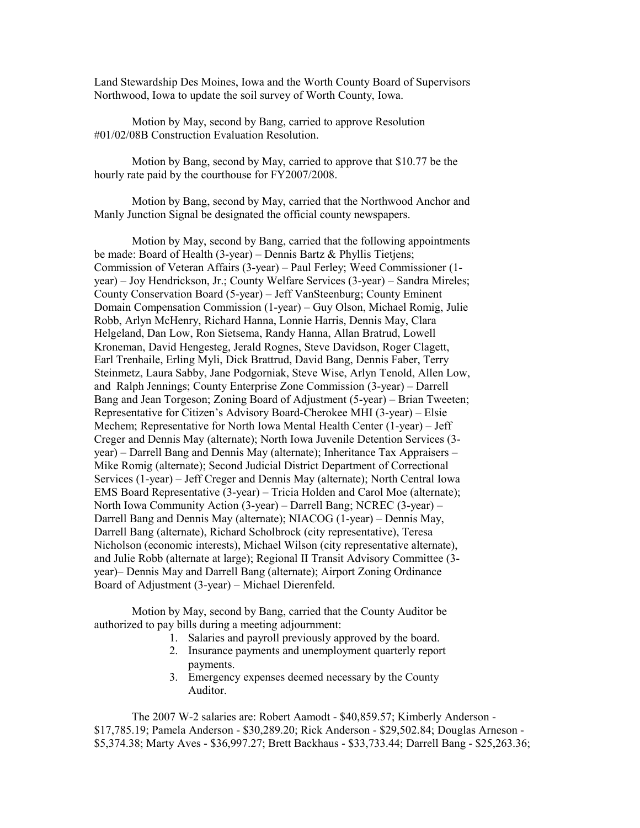Land Stewardship Des Moines, Iowa and the Worth County Board of Supervisors Northwood, Iowa to update the soil survey of Worth County, Iowa.

Motion by May, second by Bang, carried to approve Resolution #01/02/08B Construction Evaluation Resolution.

Motion by Bang, second by May, carried to approve that \$10.77 be the hourly rate paid by the courthouse for FY2007/2008.

Motion by Bang, second by May, carried that the Northwood Anchor and Manly Junction Signal be designated the official county newspapers.

Motion by May, second by Bang, carried that the following appointments be made: Board of Health (3-year) – Dennis Bartz & Phyllis Tietjens; Commission of Veteran Affairs (3-year) – Paul Ferley; Weed Commissioner (1 year) – Joy Hendrickson, Jr.; County Welfare Services (3-year) – Sandra Mireles; County Conservation Board (5-year) – Jeff VanSteenburg; County Eminent Domain Compensation Commission (1-year) – Guy Olson, Michael Romig, Julie Robb, Arlyn McHenry, Richard Hanna, Lonnie Harris, Dennis May, Clara Helgeland, Dan Low, Ron Sietsema, Randy Hanna, Allan Bratrud, Lowell Kroneman, David Hengesteg, Jerald Rognes, Steve Davidson, Roger Clagett, Earl Trenhaile, Erling Myli, Dick Brattrud, David Bang, Dennis Faber, Terry Steinmetz, Laura Sabby, Jane Podgorniak, Steve Wise, Arlyn Tenold, Allen Low, and Ralph Jennings; County Enterprise Zone Commission (3-year) – Darrell Bang and Jean Torgeson; Zoning Board of Adjustment (5-year) – Brian Tweeten; Representative for Citizen's Advisory Board-Cherokee MHI (3-year) – Elsie Mechem; Representative for North Iowa Mental Health Center (1-year) – Jeff Creger and Dennis May (alternate); North Iowa Juvenile Detention Services (3 year) – Darrell Bang and Dennis May (alternate); Inheritance Tax Appraisers – Mike Romig (alternate); Second Judicial District Department of Correctional Services (1-year) – Jeff Creger and Dennis May (alternate); North Central Iowa EMS Board Representative (3-year) – Tricia Holden and Carol Moe (alternate); North Iowa Community Action (3-year) – Darrell Bang; NCREC (3-year) – Darrell Bang and Dennis May (alternate); NIACOG (1-year) – Dennis May, Darrell Bang (alternate), Richard Scholbrock (city representative), Teresa Nicholson (economic interests), Michael Wilson (city representative alternate), and Julie Robb (alternate at large); Regional II Transit Advisory Committee (3 year)– Dennis May and Darrell Bang (alternate); Airport Zoning Ordinance Board of Adjustment (3-year) – Michael Dierenfeld.

Motion by May, second by Bang, carried that the County Auditor be authorized to pay bills during a meeting adjournment:

- 1. Salaries and payroll previously approved by the board.
- 2. Insurance payments and unemployment quarterly report payments.
- 3. Emergency expenses deemed necessary by the County Auditor.

The 2007 W-2 salaries are: Robert Aamodt - \$40,859.57; Kimberly Anderson - \$17,785.19; Pamela Anderson - \$30,289.20; Rick Anderson - \$29,502.84; Douglas Arneson - \$5,374.38; Marty Aves - \$36,997.27; Brett Backhaus - \$33,733.44; Darrell Bang - \$25,263.36;